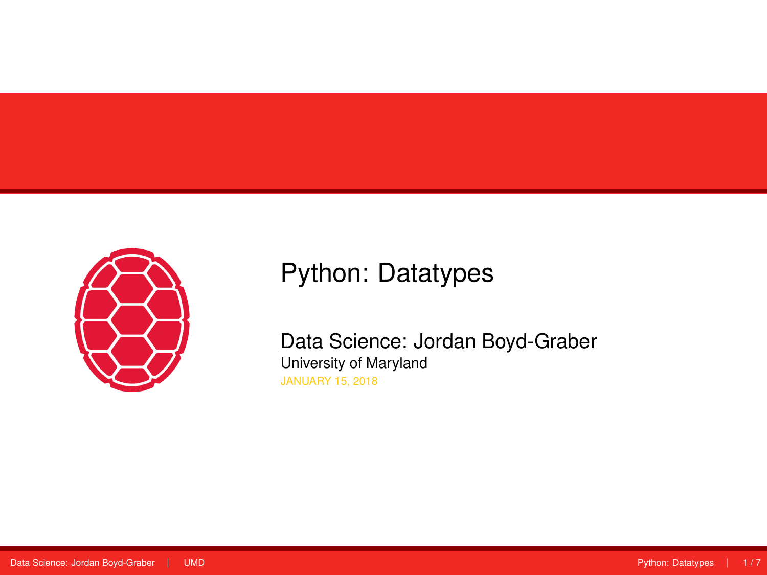<span id="page-0-0"></span>

# Python: Datatypes

Data Science: Jordan Boyd-Graber University of Maryland JANUARY 15, 2018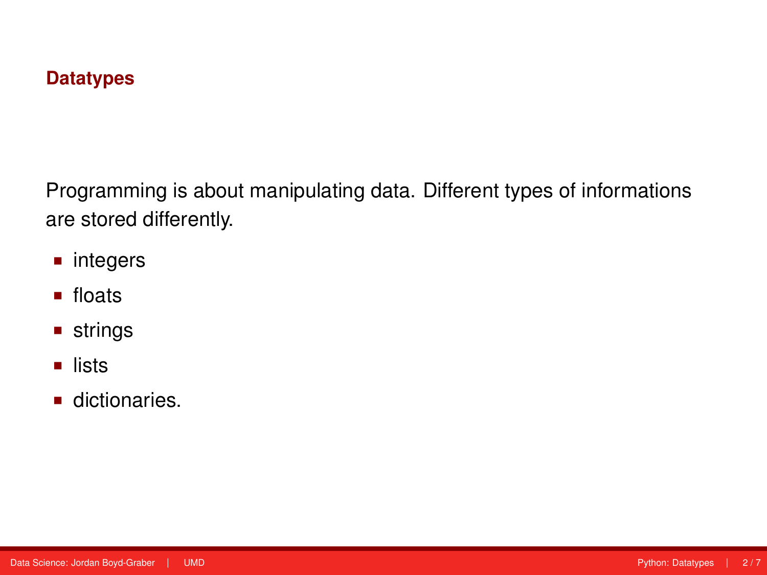#### **Datatypes**

Programming is about manipulating data. Different types of informations are stored differently.

- integers
- **floats**
- **strings**
- **u** lists
- dictionaries.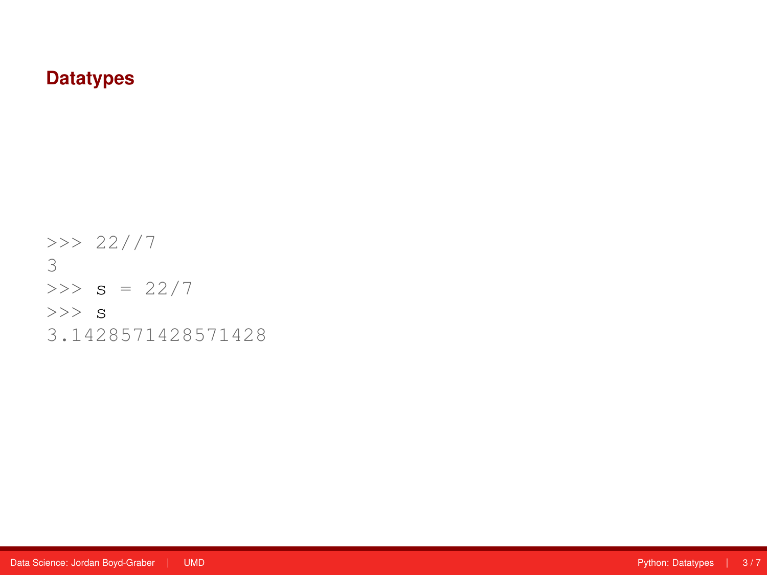#### **Datatypes**

>>> 22//7 3  $>>$  s = 22/7  $>>$  s 3.1428571428571428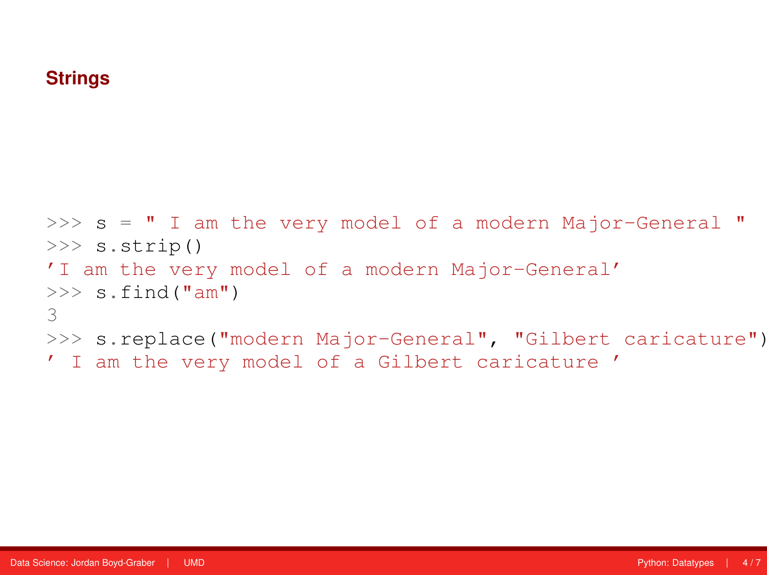#### **Strings**

```
>> s = " I am the very model of a modern Major-General "
>>> s.strip()
'I am the very model of a modern Major-General'
\gg s.find("am")
3
>>> s.replace("modern Major-General", "Gilbert caricature")
' I am the very model of a Gilbert caricature '
```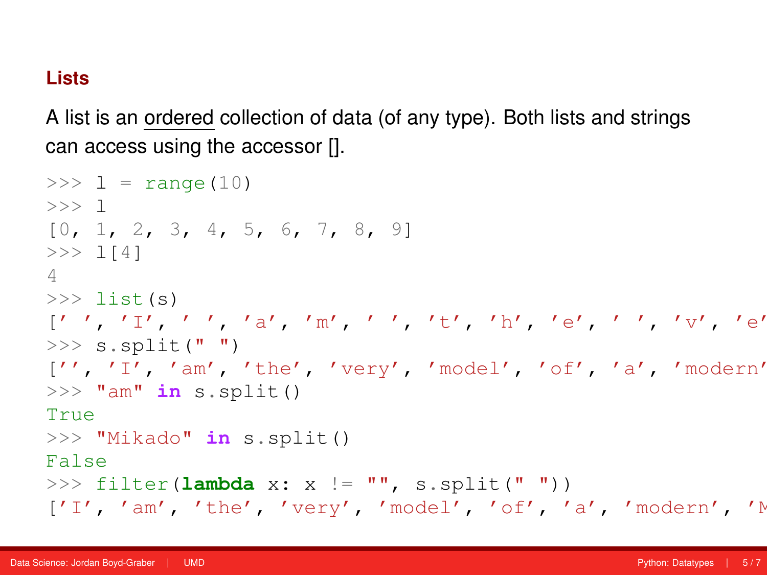#### **Lists**

A list is an ordered collection of data (of any type). Both lists and strings can access using the accessor [].

```
>> 1 = \text{range}(10)>>> l
[0, 1, 2, 3, 4, 5, 6, 7, 8, 9]>> 1[4]4
\gg list(s)
[' ', 'I', ' ', 'a', 'm', ' ', 't', 'h', 'e', ' ', 'v', 'e', 'r', 'y', ' ', 'm', 'o', 'd', 'e', 'l', ' ', 'o', 'f', ' ', 'a', ' ', 'm', 'o', 'd', 'e', 'r', 'n', ' ', 'M', 'a', 'j', 'o', 'r', '-', 'G', 'e', 'n', 'e', 'r', 'a', 'l', ' ']
>> s.split(" ")
['', 'I', 'am', 'the', 'very', 'model', 'of', 'a', 'model']>>> "am" in s.split()
True
>>> "Mikado" in s.split()
False
>>> filter(lambda x: x != "", s.split(" "))
['I', 'am', 'the', 'very', 'model', 'of', 'a', 'modern', 'N
```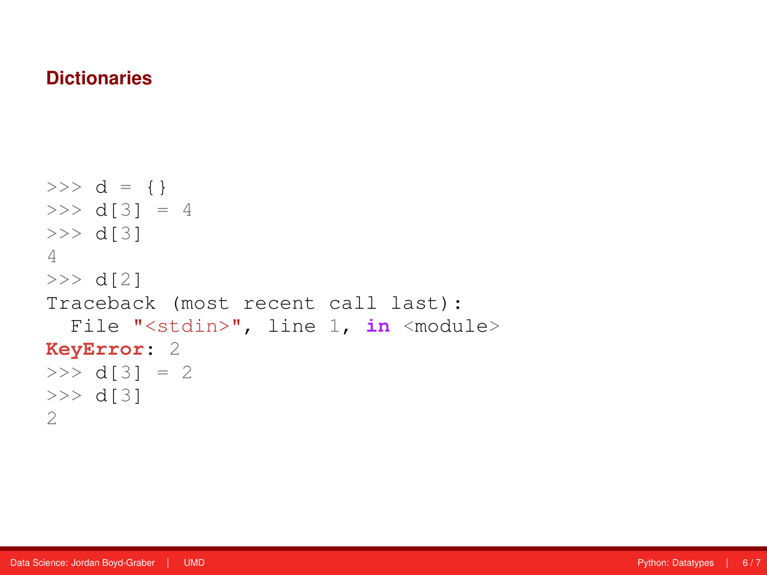### **Dictionaries**

```
>> d = {}
>> d[3] = 4
>> d[3]
4
>> d[2]
Traceback (most recent call last):
 File "<stdin>", line 1, in <module>
KeyError: 2
>> d[3] = 2
>> d[3]
2
```